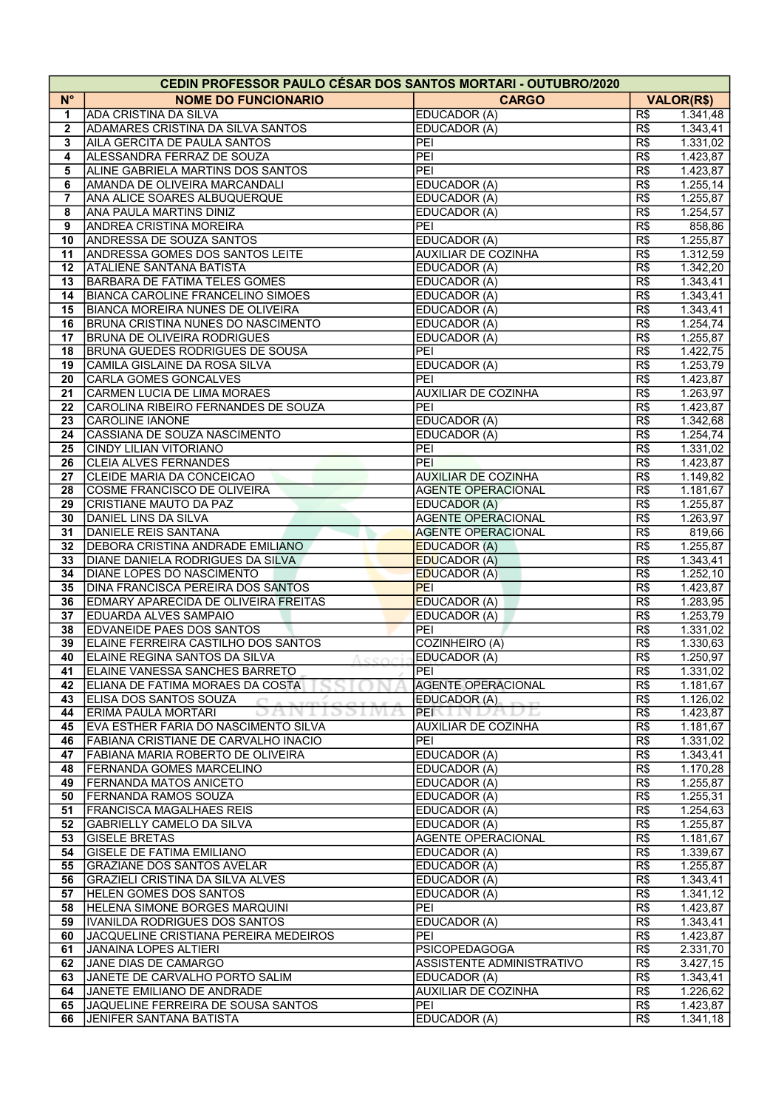| <b>CEDIN PROFESSOR PAULO CÉSAR DOS SANTOS MORTARI - OUTUBRO/2020</b> |                                             |                                            |     |                   |  |  |  |
|----------------------------------------------------------------------|---------------------------------------------|--------------------------------------------|-----|-------------------|--|--|--|
| $N^{\circ}$                                                          | <b>NOME DO FUNCIONARIO</b>                  | <b>CARGO</b>                               |     | <b>VALOR(R\$)</b> |  |  |  |
| 1                                                                    | <b>ADA CRISTINA DA SILVA</b>                | EDUCADOR (A)                               | R\$ | 1.341,48          |  |  |  |
| $\mathbf{2}$                                                         | <b>ADAMARES CRISTINA DA SILVA SANTOS</b>    | EDUCADOR (A)                               | R\$ | 1.343,41          |  |  |  |
| 3                                                                    | AILA GERCITA DE PAULA SANTOS                | PEI                                        | R\$ | 1.331,02          |  |  |  |
| $\overline{\mathbf{4}}$                                              | ALESSANDRA FERRAZ DE SOUZA                  | PEI                                        | R\$ | 1.423,87          |  |  |  |
| 5                                                                    | ALINE GABRIELA MARTINS DOS SANTOS           | PEI                                        | R\$ | 1.423,87          |  |  |  |
| 6                                                                    | <b>AMANDA DE OLIVEIRA MARCANDALI</b>        | EDUCADOR (A)                               | R\$ | 1.255, 14         |  |  |  |
| 7                                                                    | ANA ALICE SOARES ALBUQUERQUE                |                                            | R\$ | 1.255,87          |  |  |  |
|                                                                      | ANA PAULA MARTINS DINIZ                     | EDUCADOR (A)<br>EDUCADOR (A)               | R\$ | 1.254, 57         |  |  |  |
| 8                                                                    |                                             | PEI                                        |     |                   |  |  |  |
| 9                                                                    | <b>ANDREA CRISTINA MOREIRA</b>              |                                            | R\$ | 858,86            |  |  |  |
| 10                                                                   | <b>ANDRESSA DE SOUZA SANTOS</b>             | EDUCADOR (A)                               | R\$ | 1.255,87          |  |  |  |
| 11                                                                   | <b>ANDRESSA GOMES DOS SANTOS LEITE</b>      | <b>AUXILIAR DE COZINHA</b>                 | R\$ | 1.312,59          |  |  |  |
| 12                                                                   | <b>ATALIENE SANTANA BATISTA</b>             | EDUCADOR (A)                               | R\$ | 1.342,20          |  |  |  |
| 13                                                                   | <b>BARBARA DE FATIMA TELES GOMES</b>        | EDUCADOR (A)                               | R\$ | 1.343,41          |  |  |  |
| 14                                                                   | <b>BIANCA CAROLINE FRANCELINO SIMOES</b>    | EDUCADOR (A)                               | R\$ | 1.343,41          |  |  |  |
| 15                                                                   | <b>BIANCA MOREIRA NUNES DE OLIVEIRA</b>     | EDUCADOR (A)                               | R\$ | 1.343,41          |  |  |  |
| 16                                                                   | BRUNA CRISTINA NUNES DO NASCIMENTO          | EDUCADOR (A)                               | R\$ | 1.254,74          |  |  |  |
| 17                                                                   | <b>BRUNA DE OLIVEIRA RODRIGUES</b>          | EDUCADOR (A)                               | R\$ | 1.255,87          |  |  |  |
| 18                                                                   | <b>BRUNA GUEDES RODRIGUES DE SOUSA</b>      | PEI                                        | R\$ | 1.422,75          |  |  |  |
| 19                                                                   | CAMILA GISLAINE DA ROSA SILVA               | EDUCADOR (A)                               | R\$ | 1.253,79          |  |  |  |
| 20                                                                   | <b>CARLA GOMES GONCALVES</b>                | PEI                                        | R\$ | 1.423,87          |  |  |  |
| 21                                                                   | CARMEN LUCIA DE LIMA MORAES                 | <b>AUXILIAR DE COZINHA</b>                 | R\$ | 1.263,97          |  |  |  |
| 22                                                                   | CAROLINA RIBEIRO FERNANDES DE SOUZA         | PEI                                        | R\$ | 1.423,87          |  |  |  |
| 23                                                                   | <b>CAROLINE IANONE</b>                      | EDUCADOR (A)                               | R\$ | 1.342,68          |  |  |  |
| 24                                                                   | CASSIANA DE SOUZA NASCIMENTO                | EDUCADOR (A)                               | R\$ | 1.254,74          |  |  |  |
| 25                                                                   | <b>CINDY LILIAN VITORIANO</b>               | PEI                                        | R\$ | 1.331,02          |  |  |  |
| 26                                                                   | <b>CLEIA ALVES FERNANDES</b>                | PEI                                        | R\$ | 1.423,87          |  |  |  |
| 27                                                                   | CLEIDE MARIA DA CONCEICAO                   | <b>AUXILIAR DE COZINHA</b>                 | R\$ | 1.149,82          |  |  |  |
| 28                                                                   | COSME FRANCISCO DE OLIVEIRA                 | <b>AGENTE OPERACIONAL</b>                  | R\$ | 1.181,67          |  |  |  |
| 29                                                                   | CRISTIANE MAUTO DA PAZ                      | <b>EDUCADOR (A)</b>                        | R\$ | 1.255,87          |  |  |  |
| 30                                                                   | DANIEL LINS DA SILVA                        | <b>AGENTE OPERACIONAL</b>                  | R\$ | 1.263,97          |  |  |  |
| 31                                                                   | <b>DANIELE REIS SANTANA</b>                 | <b>AGENTE OPERACIONAL</b>                  | R\$ | 819,66            |  |  |  |
| 32                                                                   | DEBORA CRISTINA ANDRADE EMILIANO            | <b>EDUCADOR</b> (A)                        | R\$ | 1.255,87          |  |  |  |
| 33                                                                   | DIANE DANIELA RODRIGUES DA SILVA            |                                            | R\$ | 1.343,41          |  |  |  |
| 34                                                                   | DIANE LOPES DO NASCIMENTO                   | <b>EDUCADOR (A)</b><br><b>EDUCADOR (A)</b> | R\$ | 1.252, 10         |  |  |  |
|                                                                      | <b>DINA FRANCISCA PEREIRA DOS SANTOS</b>    | PEI                                        |     | 1.423,87          |  |  |  |
| 35                                                                   |                                             |                                            | R\$ |                   |  |  |  |
| 36                                                                   | <b>EDMARY APARECIDA DE OLIVEIRA FREITAS</b> | EDUCADOR (A)                               | R\$ | 1.283,95          |  |  |  |
| 37                                                                   | <b>EDUARDA ALVES SAMPAIO</b>                | EDUCADOR (A)                               | R\$ | 1.253,79          |  |  |  |
| 38                                                                   | <b>EDVANEIDE PAES DOS SANTOS</b>            | PEI                                        | R\$ | 1.331,02          |  |  |  |
| 39                                                                   | ELAINE FERREIRA CASTILHO DOS SANTOS         | COZINHEIRO (A)                             | R\$ | 1.330,63          |  |  |  |
| 40                                                                   | ELAINE REGINA SANTOS DA SILVA               | EDUCADOR (A)                               | R\$ | 1.250,97          |  |  |  |
| 41                                                                   | JELAINE VANESSA SANCHES BARRETO             | IPEI.                                      | R\$ | 1.331,02          |  |  |  |
| 42                                                                   | ELIANA DE FATIMA MORAES DA COSTA            | AGENTE OPERACIONAL                         | R\$ | 1.181,67          |  |  |  |
| 43                                                                   | ELISA DOS SANTOS SOUZA                      | EDUCADOR (A)                               | R\$ | 1.126,02          |  |  |  |
| 44                                                                   | ERIMA PAULA MORTARI<br>1991<br>D.           | PENTIN                                     | R\$ | 1.423,87          |  |  |  |
| 45                                                                   | EVA ESTHER FARIA DO NASCIMENTO SILVA        | <b>AUXILIAR DE COZINHA</b>                 | R\$ | 1.181,67          |  |  |  |
| 46                                                                   | FABIANA CRISTIANE DE CARVALHO INACIO        | PEI                                        | R\$ | 1.331,02          |  |  |  |
| 47                                                                   | FABIANA MARIA ROBERTO DE OLIVEIRA           | EDUCADOR (A)                               | R\$ | 1.343,41          |  |  |  |
| 48                                                                   | <b>IFERNANDA GOMES MARCELINO</b>            | EDUCADOR (A)                               | R\$ | 1.170,28          |  |  |  |
| 49                                                                   | <b>FERNANDA MATOS ANICETO</b>               | EDUCADOR (A)                               | R\$ | 1.255,87          |  |  |  |
| 50                                                                   | <b>FERNANDA RAMOS SOUZA</b>                 | EDUCADOR (A)                               | R\$ | 1.255,31          |  |  |  |
| 51                                                                   | <b>IFRANCISCA MAGALHAES REIS</b>            | EDUCADOR (A)                               | R\$ | 1.254,63          |  |  |  |
| 52                                                                   | <b>GABRIELLY CAMELO DA SILVA</b>            | EDUCADOR (A)                               | R\$ | 1.255,87          |  |  |  |
| 53                                                                   | <b>GISELE BRETAS</b>                        | <b>AGENTE OPERACIONAL</b>                  | R\$ | 1.181,67          |  |  |  |
| 54                                                                   | <b>GISELE DE FATIMA EMILIANO</b>            | EDUCADOR (A)                               | R\$ | 1.339,67          |  |  |  |
| 55                                                                   | GRAZIANE DOS SANTOS AVELAR                  | EDUCADOR (A)                               | R\$ | 1.255,87          |  |  |  |
| 56                                                                   | <b>GRAZIELI CRISTINA DA SILVA ALVES</b>     | EDUCADOR (A)                               | R\$ | 1.343,41          |  |  |  |
| 57                                                                   | <b>HELEN GOMES DOS SANTOS</b>               | EDUCADOR (A)                               | R\$ | 1.341,12          |  |  |  |
| 58                                                                   | HELENA SIMONE BORGES MARQUINI               | PEI                                        | R\$ | 1.423,87          |  |  |  |
| 59                                                                   | IVANILDA RODRIGUES DOS SANTOS               | EDUCADOR (A)                               | R\$ | 1.343,41          |  |  |  |
| 60                                                                   | JACQUELINE CRISTIANA PEREIRA MEDEIROS       | PEI                                        | R\$ | 1.423,87          |  |  |  |
| 61                                                                   | JANAINA LOPES ALTIERI                       | <b>PSICOPEDAGOGA</b>                       | R\$ | 2.331,70          |  |  |  |
| 62                                                                   | JANE DIAS DE CAMARGO                        | ASSISTENTE ADMINISTRATIVO                  | R\$ | 3.427,15          |  |  |  |
|                                                                      |                                             |                                            |     |                   |  |  |  |
| 63                                                                   | JANETE DE CARVALHO PORTO SALIM              | EDUCADOR (A)                               | R\$ | 1.343,41          |  |  |  |
| 64                                                                   | JANETE EMILIANO DE ANDRADE                  | <b>AUXILIAR DE COZINHA</b>                 | R\$ | 1.226,62          |  |  |  |
| 65                                                                   | JAQUELINE FERREIRA DE SOUSA SANTOS          | PEI                                        | R\$ | 1.423,87          |  |  |  |
| 66                                                                   | JENIFER SANTANA BATISTA                     | EDUCADOR (A)                               | R\$ | 1.341,18          |  |  |  |